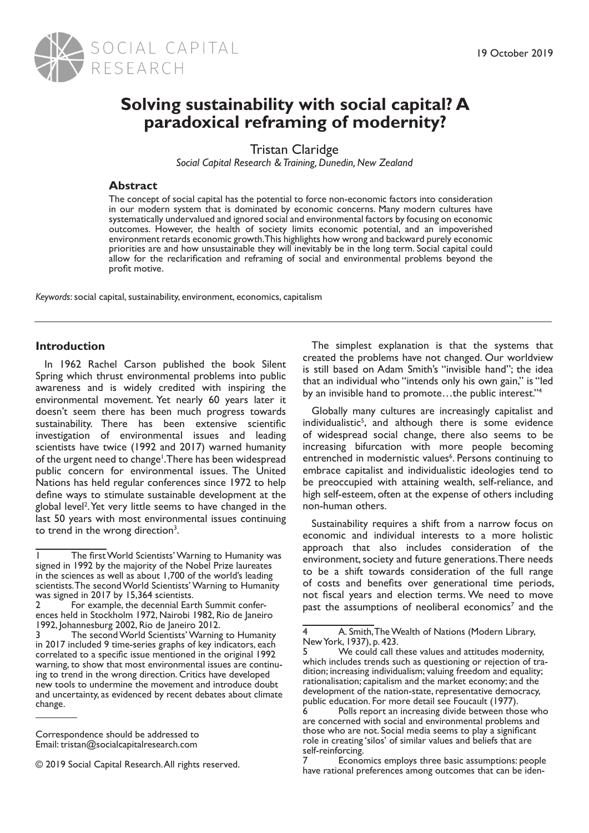

# **Solving sustainability with social capital? A paradoxical reframing of modernity?**

Tristan Claridge

*Social Capital Research & Training, Dunedin, New Zealand*

# **Abstract**

The concept of social capital has the potential to force non-economic factors into consideration in our modern system that is dominated by economic concerns. Many modern cultures have systematically undervalued and ignored social and environmental factors by focusing on economic outcomes. However, the health of society limits economic potential, and an impoverished environment retards economic growth. This highlights how wrong and backward purely economic priorities are and how unsustainable they will inevitably be in the long term. Social capital could allow for the reclarification and reframing of social and environmental problems beyond the profit motive.

*Keywords*: social capital, sustainability, environment, economics, capitalism

### **Introduction**

In 1962 Rachel Carson published the book Silent Spring which thrust environmental problems into public awareness and is widely credited with inspiring the environmental movement. Yet nearly 60 years later it doesn't seem there has been much progress towards sustainability. There has been extensive scientific investigation of environmental issues and leading scientists have twice (1992 and 2017) warned humanity of the urgent need to change<sup>1</sup>. There has been widespread public concern for environmental issues. The United Nations has held regular conferences since 1972 to help define ways to stimulate sustainable development at the global level<sup>2</sup>. Yet very little seems to have changed in the last 50 years with most environmental issues continuing to trend in the wrong direction<sup>3</sup>.

The simplest explanation is that the systems that created the problems have not changed. Our worldview is still based on Adam Smith's "invisible hand"; the idea that an individual who "intends only his own gain," is "led by an invisible hand to promote…the public interest."<sup>4</sup>

Globally many cultures are increasingly capitalist and individualistic<sup>5</sup>, and although there is some evidence of widespread social change, there also seems to be increasing bifurcation with more people becoming entrenched in modernistic values<sup>6</sup>. Persons continuing to embrace capitalist and individualistic ideologies tend to be preoccupied with attaining wealth, self-reliance, and high self-esteem, often at the expense of others including non-human others.

Sustainability requires a shift from a narrow focus on economic and individual interests to a more holistic approach that also includes consideration of the environment, society and future generations. There needs to be a shift towards consideration of the full range of costs and benefits over generational time periods, not fiscal years and election terms. We need to move past the assumptions of neoliberal economics<sup>7</sup> and the

<sup>1</sup> The first World Scientists' Warning to Humanity was signed in 1992 by the majority of the Nobel Prize laureates in the sciences as well as about 1,700 of the world's leading scientists. The second World Scientists' Warning to Humanity was signed in 2017 by 15,364 scientists.<br>2 For example, the decennial Ear

For example, the decennial Earth Summit conferences held in Stockholm 1972, Nairobi 1982, Rio de Janeiro 1992, Johannesburg 2002, Rio de Janeiro 2012.

The second World Scientists' Warning to Humanity in 2017 included 9 time-series graphs of key indicators, each correlated to a specific issue mentioned in the original 1992 warning, to show that most environmental issues are continuing to trend in the wrong direction. Critics have developed new tools to undermine the movement and introduce doubt and uncertainty, as evidenced by recent debates about climate change.

Correspondence should be addressed to Email: tristan@socialcapitalresearch.com

<sup>© 2019</sup> Social Capital Research. All rights reserved.

<sup>4</sup> A. Smith, The Wealth of Nations (Modern Library, New York, 1937), p. 423.

<sup>5</sup> We could call these values and attitudes modernity, which includes trends such as questioning or rejection of tradition; increasing individualism; valuing freedom and equality; rationalisation; capitalism and the market economy; and the development of the nation-state, representative democracy, public education. For more detail see Foucault (1977).

<sup>6</sup> Polls report an increasing divide between those who are concerned with social and environmental problems and those who are not. Social media seems to play a significant role in creating 'silos' of similar values and beliefs that are self-reinforcing.

Economics employs three basic assumptions: people have rational preferences among outcomes that can be iden-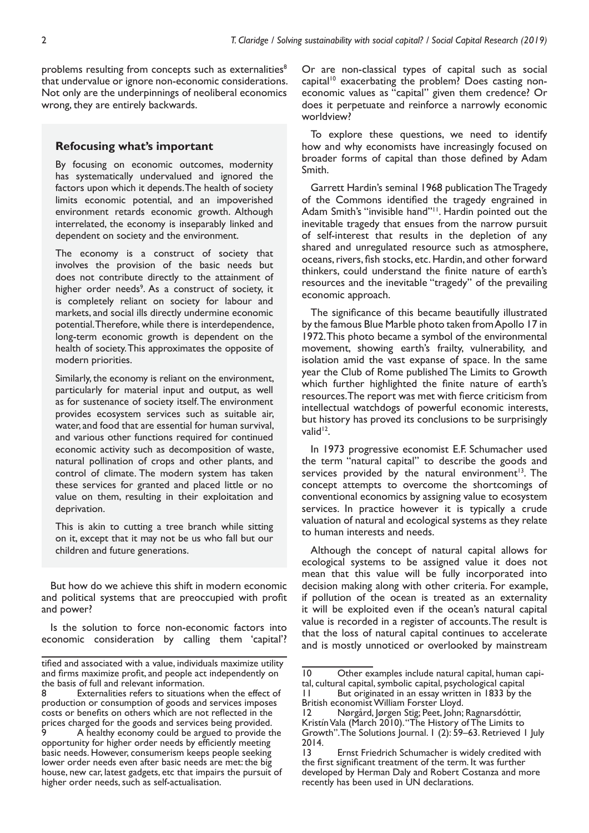problems resulting from concepts such as externalities<sup>8</sup> that undervalue or ignore non-economic considerations. Not only are the underpinnings of neoliberal economics wrong, they are entirely backwards.

#### **Refocusing what's important**

By focusing on economic outcomes, modernity has systematically undervalued and ignored the factors upon which it depends. The health of society limits economic potential, and an impoverished environment retards economic growth. Although interrelated, the economy is inseparably linked and dependent on society and the environment.

The economy is a construct of society that involves the provision of the basic needs but does not contribute directly to the attainment of higher order needs<sup>9</sup>. As a construct of society, it is completely reliant on society for labour and markets, and social ills directly undermine economic potential. Therefore, while there is interdependence, long-term economic growth is dependent on the health of society. This approximates the opposite of modern priorities.

Similarly, the economy is reliant on the environment, particularly for material input and output, as well as for sustenance of society itself. The environment provides ecosystem services such as suitable air, water, and food that are essential for human survival, and various other functions required for continued economic activity such as decomposition of waste, natural pollination of crops and other plants, and control of climate. The modern system has taken these services for granted and placed little or no value on them, resulting in their exploitation and deprivation.

This is akin to cutting a tree branch while sitting on it, except that it may not be us who fall but our children and future generations.

But how do we achieve this shift in modern economic and political systems that are preoccupied with profit and power?

Is the solution to force non-economic factors into economic consideration by calling them 'capital'? Or are non-classical types of capital such as social capital<sup>10</sup> exacerbating the problem? Does casting noneconomic values as "capital" given them credence? Or does it perpetuate and reinforce a narrowly economic worldview?

To explore these questions, we need to identify how and why economists have increasingly focused on broader forms of capital than those defined by Adam Smith.

Garrett Hardin's seminal 1968 publication The Tragedy of the Commons identified the tragedy engrained in Adam Smith's "invisible hand"<sup>11</sup>. Hardin pointed out the inevitable tragedy that ensues from the narrow pursuit of self-interest that results in the depletion of any shared and unregulated resource such as atmosphere, oceans, rivers, fish stocks, etc. Hardin, and other forward thinkers, could understand the finite nature of earth's resources and the inevitable "tragedy" of the prevailing economic approach.

The significance of this became beautifully illustrated by the famous Blue Marble photo taken from Apollo 17 in 1972. This photo became a symbol of the environmental movement, showing earth's frailty, vulnerability, and isolation amid the vast expanse of space. In the same year the Club of Rome published The Limits to Growth which further highlighted the finite nature of earth's resources. The report was met with fierce criticism from intellectual watchdogs of powerful economic interests, but history has proved its conclusions to be surprisingly valid<sup>12</sup>.

In 1973 progressive economist E.F. Schumacher used the term "natural capital" to describe the goods and services provided by the natural environment $13$ . The concept attempts to overcome the shortcomings of conventional economics by assigning value to ecosystem services. In practice however it is typically a crude valuation of natural and ecological systems as they relate to human interests and needs.

Although the concept of natural capital allows for ecological systems to be assigned value it does not mean that this value will be fully incorporated into decision making along with other criteria. For example, if pollution of the ocean is treated as an externality it will be exploited even if the ocean's natural capital value is recorded in a register of accounts. The result is that the loss of natural capital continues to accelerate and is mostly unnoticed or overlooked by mainstream

tified and associated with a value, individuals maximize utility and firms maximize profit, and people act independently on the basis of full and relevant information.

<sup>8</sup> Externalities refers to situations when the effect of production or consumption of goods and services imposes costs or benefits on others which are not reflected in the prices charged for the goods and services being provided.

A healthy economy could be argued to provide the opportunity for higher order needs by efficiently meeting basic needs. However, consumerism keeps people seeking lower order needs even after basic needs are met: the big house, new car, latest gadgets, etc that impairs the pursuit of higher order needs, such as self-actualisation.

<sup>10</sup> Other examples include natural capital, human capital, cultural capital, symbolic capital, psychological capital

<sup>11</sup> But originated in an essay written in 1833 by the British economist William Forster Lloyd.

<sup>12</sup> Nørgård, Jørgen Stig; Peet, John; Ragnarsdóttir, Kristín Vala (March 2010). "The History of The Limits to Growth". The Solutions Journal. 1 (2): 59–63. Retrieved 1 July

<sup>2014.&</sup>lt;br>13 Ernst Friedrich Schumacher is widely credited with the first significant treatment of the term. It was further developed by Herman Daly and Robert Costanza and more recently has been used in UN declarations.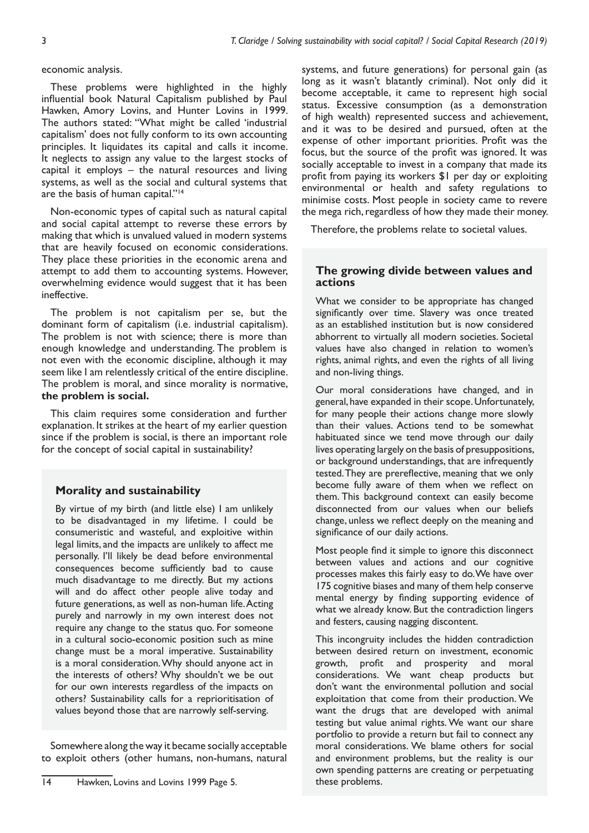#### economic analysis.

These problems were highlighted in the highly influential book Natural Capitalism published by Paul Hawken, Amory Lovins, and Hunter Lovins in 1999. The authors stated: "What might be called 'industrial capitalism' does not fully conform to its own accounting principles. It liquidates its capital and calls it income. It neglects to assign any value to the largest stocks of capital it employs – the natural resources and living systems, as well as the social and cultural systems that are the basis of human capital."<sup>14</sup>

Non-economic types of capital such as natural capital and social capital attempt to reverse these errors by making that which is unvalued valued in modern systems that are heavily focused on economic considerations. They place these priorities in the economic arena and attempt to add them to accounting systems. However, overwhelming evidence would suggest that it has been ineffective.

The problem is not capitalism per se, but the dominant form of capitalism (i.e. industrial capitalism). The problem is not with science; there is more than enough knowledge and understanding. The problem is not even with the economic discipline, although it may seem like I am relentlessly critical of the entire discipline. The problem is moral, and since morality is normative, **the problem is social.**

This claim requires some consideration and further explanation. It strikes at the heart of my earlier question since if the problem is social, is there an important role for the concept of social capital in sustainability?

# **Morality and sustainability**

By virtue of my birth (and little else) I am unlikely to be disadvantaged in my lifetime. I could be consumeristic and wasteful, and exploitive within legal limits, and the impacts are unlikely to affect me personally. I'll likely be dead before environmental consequences become sufficiently bad to cause much disadvantage to me directly. But my actions will and do affect other people alive today and future generations, as well as non-human life. Acting purely and narrowly in my own interest does not require any change to the status quo. For someone in a cultural socio-economic position such as mine change must be a moral imperative. Sustainability is a moral consideration. Why should anyone act in the interests of others? Why shouldn't we be out for our own interests regardless of the impacts on others? Sustainability calls for a reprioritisation of values beyond those that are narrowly self-serving.

Somewhere along the way it became socially acceptable to exploit others (other humans, non-humans, natural

14 Hawken, Lovins and Lovins 1999 Page 5.

systems, and future generations) for personal gain (as long as it wasn't blatantly criminal). Not only did it become acceptable, it came to represent high social status. Excessive consumption (as a demonstration of high wealth) represented success and achievement, and it was to be desired and pursued, often at the expense of other important priorities. Profit was the focus, but the source of the profit was ignored. It was socially acceptable to invest in a company that made its profit from paying its workers \$1 per day or exploiting environmental or health and safety regulations to minimise costs. Most people in society came to revere the mega rich, regardless of how they made their money.

Therefore, the problems relate to societal values.

# **The growing divide between values and actions**

What we consider to be appropriate has changed significantly over time. Slavery was once treated as an established institution but is now considered abhorrent to virtually all modern societies. Societal values have also changed in relation to women's rights, animal rights, and even the rights of all living and non-living things.

Our moral considerations have changed, and in general, have expanded in their scope. Unfortunately, for many people their actions change more slowly than their values. Actions tend to be somewhat habituated since we tend move through our daily lives operating largely on the basis of presuppositions, or background understandings, that are infrequently tested. They are prereflective, meaning that we only become fully aware of them when we reflect on them. This background context can easily become disconnected from our values when our beliefs change, unless we reflect deeply on the meaning and significance of our daily actions.

Most people find it simple to ignore this disconnect between values and actions and our cognitive processes makes this fairly easy to do. We have over 175 cognitive biases and many of them help conserve mental energy by finding supporting evidence of what we already know. But the contradiction lingers and festers, causing nagging discontent.

This incongruity includes the hidden contradiction between desired return on investment, economic growth, profit and prosperity and moral considerations. We want cheap products but don't want the environmental pollution and social exploitation that come from their production. We want the drugs that are developed with animal testing but value animal rights. We want our share portfolio to provide a return but fail to connect any moral considerations. We blame others for social and environment problems, but the reality is our own spending patterns are creating or perpetuating these problems.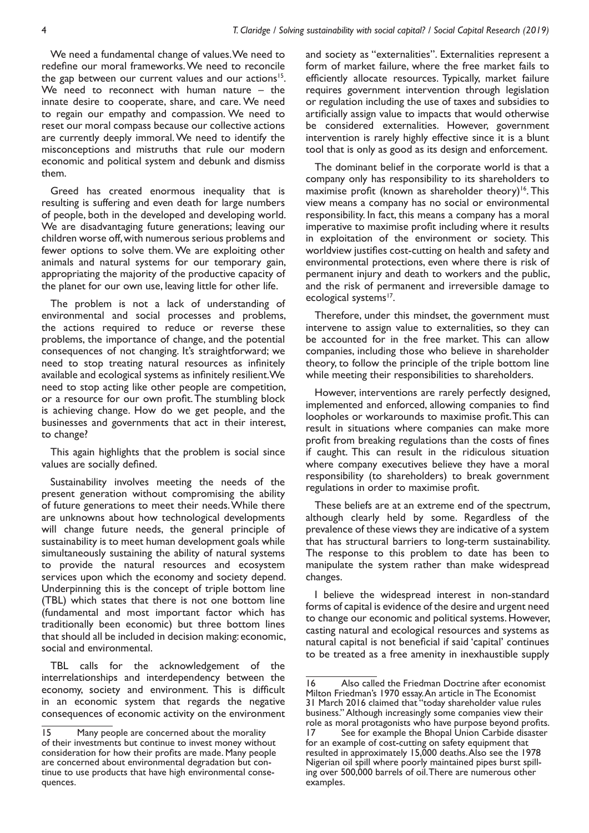We need a fundamental change of values. We need to redefine our moral frameworks. We need to reconcile the gap between our current values and our actions<sup>15</sup>. We need to reconnect with human nature – the innate desire to cooperate, share, and care. We need to regain our empathy and compassion. We need to reset our moral compass because our collective actions are currently deeply immoral. We need to identify the misconceptions and mistruths that rule our modern economic and political system and debunk and dismiss them.

Greed has created enormous inequality that is resulting is suffering and even death for large numbers of people, both in the developed and developing world. We are disadvantaging future generations; leaving our children worse off, with numerous serious problems and fewer options to solve them. We are exploiting other animals and natural systems for our temporary gain, appropriating the majority of the productive capacity of the planet for our own use, leaving little for other life.

The problem is not a lack of understanding of environmental and social processes and problems, the actions required to reduce or reverse these problems, the importance of change, and the potential consequences of not changing. It's straightforward; we need to stop treating natural resources as infinitely available and ecological systems as infinitely resilient. We need to stop acting like other people are competition, or a resource for our own profit. The stumbling block is achieving change. How do we get people, and the businesses and governments that act in their interest, to change?

This again highlights that the problem is social since values are socially defined.

Sustainability involves meeting the needs of the present generation without compromising the ability of future generations to meet their needs. While there are unknowns about how technological developments will change future needs, the general principle of sustainability is to meet human development goals while simultaneously sustaining the ability of natural systems to provide the natural resources and ecosystem services upon which the economy and society depend. Underpinning this is the concept of triple bottom line (TBL) which states that there is not one bottom line (fundamental and most important factor which has traditionally been economic) but three bottom lines that should all be included in decision making: economic, social and environmental.

TBL calls for the acknowledgement of the interrelationships and interdependency between the economy, society and environment. This is difficult in an economic system that regards the negative consequences of economic activity on the environment and society as "externalities". Externalities represent a form of market failure, where the free market fails to efficiently allocate resources. Typically, market failure requires government intervention through legislation or regulation including the use of taxes and subsidies to artificially assign value to impacts that would otherwise be considered externalities. However, government intervention is rarely highly effective since it is a blunt tool that is only as good as its design and enforcement.

The dominant belief in the corporate world is that a company only has responsibility to its shareholders to maximise profit (known as shareholder theory)<sup>16</sup>. This view means a company has no social or environmental responsibility. In fact, this means a company has a moral imperative to maximise profit including where it results in exploitation of the environment or society. This worldview justifies cost-cutting on health and safety and environmental protections, even where there is risk of permanent injury and death to workers and the public, and the risk of permanent and irreversible damage to ecological systems<sup>17</sup>.

Therefore, under this mindset, the government must intervene to assign value to externalities, so they can be accounted for in the free market. This can allow companies, including those who believe in shareholder theory, to follow the principle of the triple bottom line while meeting their responsibilities to shareholders.

However, interventions are rarely perfectly designed, implemented and enforced, allowing companies to find loopholes or workarounds to maximise profit. This can result in situations where companies can make more profit from breaking regulations than the costs of fines if caught. This can result in the ridiculous situation where company executives believe they have a moral responsibility (to shareholders) to break government regulations in order to maximise profit.

These beliefs are at an extreme end of the spectrum, although clearly held by some. Regardless of the prevalence of these views they are indicative of a system that has structural barriers to long-term sustainability. The response to this problem to date has been to manipulate the system rather than make widespread changes.

I believe the widespread interest in non-standard forms of capital is evidence of the desire and urgent need to change our economic and political systems. However, casting natural and ecological resources and systems as natural capital is not beneficial if said 'capital' continues to be treated as a free amenity in inexhaustible supply

<sup>15</sup> Many people are concerned about the morality of their investments but continue to invest money without consideration for how their profits are made. Many people are concerned about environmental degradation but continue to use products that have high environmental consequences.

<sup>16</sup> Also called the Friedman Doctrine after economist Milton Friedman's 1970 essay. An article in The Economist 31 March 2016 claimed that "today shareholder value rules business." Although increasingly some companies view their role as moral protagonists who have purpose beyond profits.<br>17 See for example the Bhopal Union Carbide disaster See for example the Bhopal Union Carbide disaster for an example of cost-cutting on safety equipment that resulted in approximately 15,000 deaths. Also see the 1978 Nigerian oil spill where poorly maintained pipes burst spilling over 500,000 barrels of oil. There are numerous other examples.